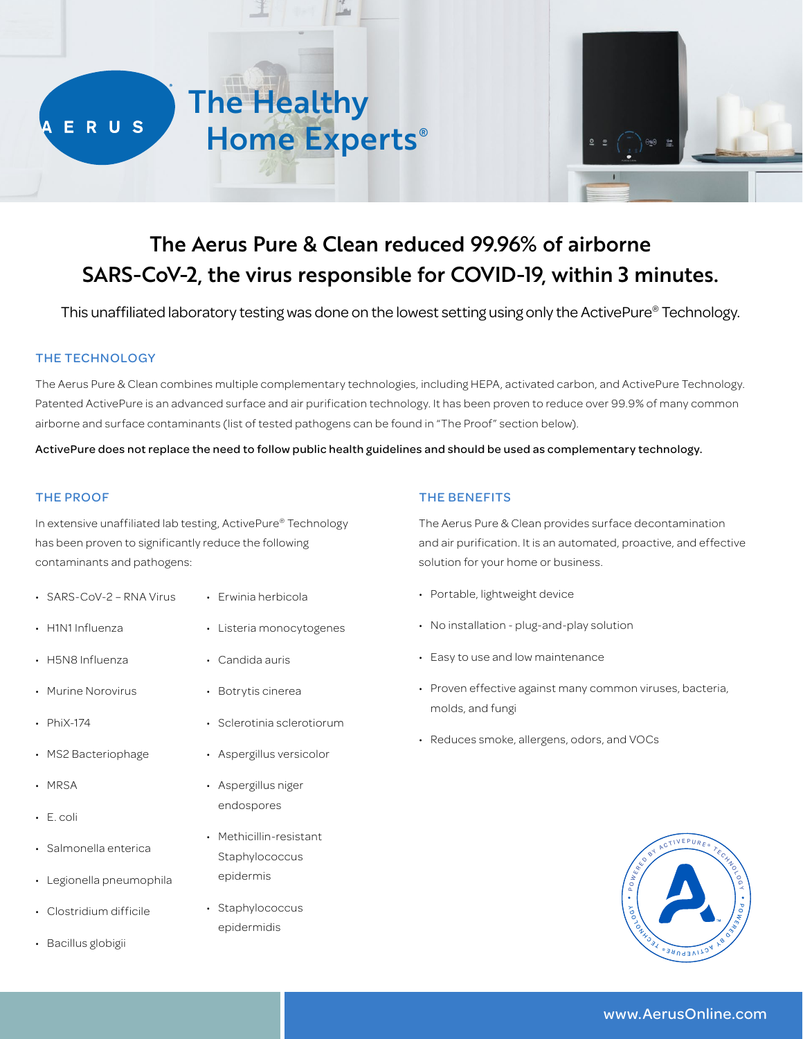



# The Aerus Pure & Clean reduced 99.96% of airborne SARS-CoV-2, the virus responsible for COVID-19, within 3 minutes.

This unaffiliated laboratory testing was done on the lowest setting using only the ActivePure® Technology.

## THE TECHNOLOGY

The Aerus Pure & Clean combines multiple complementary technologies, including HEPA, activated carbon, and ActivePure Technology. Patented ActivePure is an advanced surface and air purification technology. It has been proven to reduce over 99.9% of many common airborne and surface contaminants (list of tested pathogens can be found in "The Proof" section below).

ActivePure does not replace the need to follow public health guidelines and should be used as complementary technology.

#### THE PROOF

In extensive unaffiliated lab testing, ActivePure® Technology has been proven to significantly reduce the following contaminants and pathogens:

• Erwinia herbicola

• Candida auris

• Botrytis cinerea

• Listeria monocytogenes

• Sclerotinia sclerotiorum

• Aspergillus versicolor

• Methicillin-resistant Staphylococcus epidermis

• Staphylococcus epidermidis

• Aspergillus niger endospores

- SARS-CoV-2 RNA Virus
- H1N1 Influenza
- H5N8 Influenza
- Murine Norovirus
- PhiX-174
- MS2 Bacteriophage
- MRSA
- E. coli
- Salmonella enterica
- Legionella pneumophila
- Clostridium difficile
- Bacillus globigii

THE BENEFITS

The Aerus Pure & Clean provides surface decontamination and air purification. It is an automated, proactive, and effective solution for your home or business.

- Portable, lightweight device
- No installation plug-and-play solution
- Easy to use and low maintenance
- Proven effective against many common viruses, bacteria, molds, and fungi
- Reduces smoke, allergens, odors, and VOCs



# www.AerusOnline.com